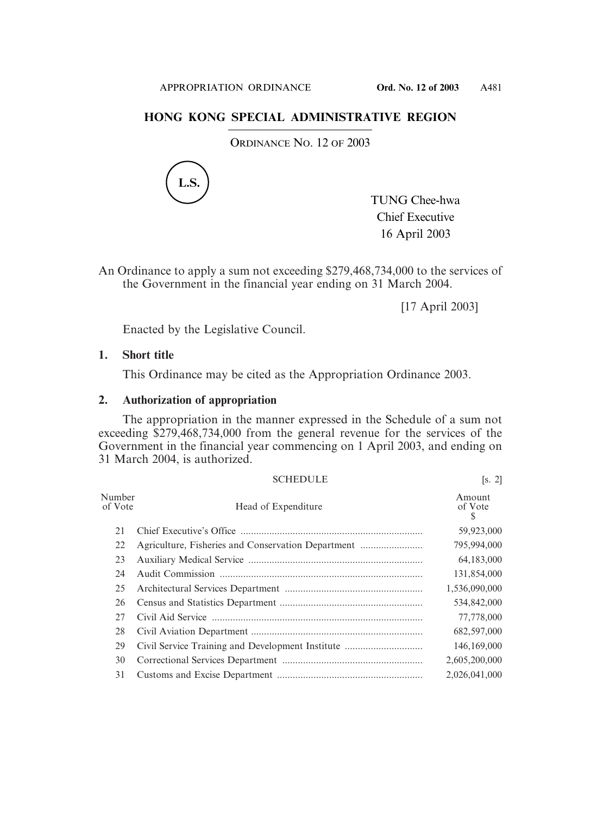## **HONG KONG SPECIAL ADMINISTRATIVE REGION**

ORDINANCE NO. 12 OF 2003



An Ordinance to apply a sum not exceeding \$279,468,734,000 to the services of the Government in the financial year ending on 31 March 2004.

[17 April 2003]

Enacted by the Legislative Council.

## **1. Short title**

This Ordinance may be cited as the Appropriation Ordinance 2003.

## **2. Authorization of appropriation**

The appropriation in the manner expressed in the Schedule of a sum not exceeding \$279,468,734,000 from the general revenue for the services of the Government in the financial year commencing on 1 April 2003, and ending on 31 March 2004, is authorized.

|                   | <b>SCHEDULE</b>                                  | [s, 2]                 |
|-------------------|--------------------------------------------------|------------------------|
| Number<br>of Vote | Head of Expenditure                              | Amount<br>of Vote<br>S |
| 21                |                                                  | 59,923,000             |
| 22                |                                                  | 795,994,000            |
| 23                |                                                  | 64,183,000             |
| 24                |                                                  | 131,854,000            |
| 25                |                                                  | 1,536,090,000          |
| 26                |                                                  | 534,842,000            |
| 27                |                                                  | 77,778,000             |
| 28                |                                                  | 682,597,000            |
| 29                | Civil Service Training and Development Institute | 146,169,000            |
| 30                |                                                  | 2,605,200,000          |
| 31                |                                                  | 2,026,041,000          |

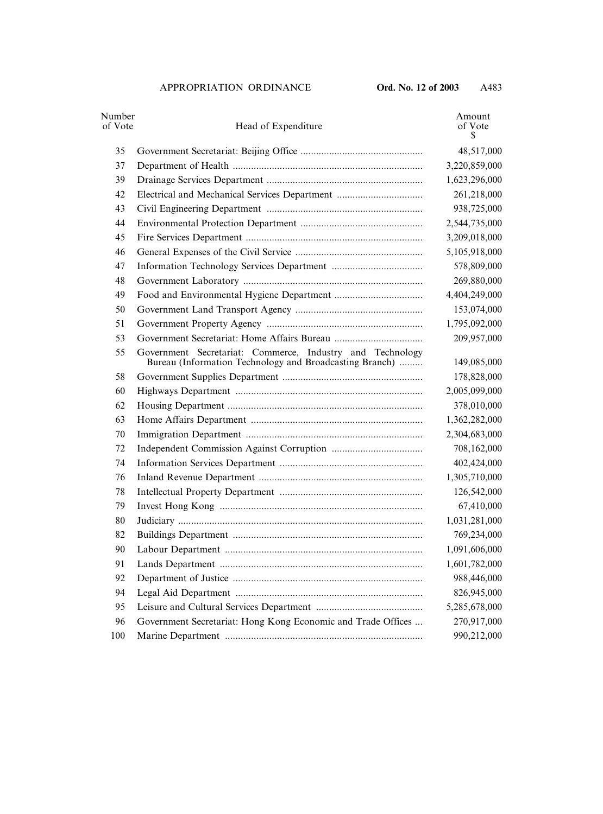| Number<br>of Vote | Head of Expenditure                                                                                                  | Amount<br>of Vote<br>\$ |
|-------------------|----------------------------------------------------------------------------------------------------------------------|-------------------------|
| 35                |                                                                                                                      | 48,517,000              |
| 37                |                                                                                                                      | 3,220,859,000           |
| 39                |                                                                                                                      | 1,623,296,000           |
| 42                | Electrical and Mechanical Services Department                                                                        | 261,218,000             |
| 43                |                                                                                                                      | 938,725,000             |
| 44                |                                                                                                                      | 2,544,735,000           |
| 45                |                                                                                                                      | 3,209,018,000           |
| 46                |                                                                                                                      | 5,105,918,000           |
| 47                |                                                                                                                      | 578,809,000             |
| 48                |                                                                                                                      | 269,880,000             |
| 49                |                                                                                                                      | 4,404,249,000           |
| 50                |                                                                                                                      | 153,074,000             |
| 51                |                                                                                                                      | 1,795,092,000           |
| 53                |                                                                                                                      | 209,957,000             |
| 55                | Government Secretariat: Commerce, Industry and Technology<br>Bureau (Information Technology and Broadcasting Branch) | 149,085,000             |
| 58                |                                                                                                                      | 178,828,000             |
| 60                |                                                                                                                      | 2,005,099,000           |
| 62                |                                                                                                                      | 378,010,000             |
| 63                |                                                                                                                      | 1,362,282,000           |
| 70                |                                                                                                                      | 2,304,683,000           |
| 72                |                                                                                                                      | 708,162,000             |
| 74                |                                                                                                                      | 402,424,000             |
| 76                |                                                                                                                      | 1,305,710,000           |
| 78                |                                                                                                                      | 126,542,000             |
| 79                |                                                                                                                      | 67,410,000              |
| 80                |                                                                                                                      | 1,031,281,000           |
| 82                |                                                                                                                      | 769,234,000             |
| 90                |                                                                                                                      | 1,091,606,000           |
| 91                |                                                                                                                      | 1,601,782,000           |
| 92                |                                                                                                                      | 988,446,000             |
| 94                |                                                                                                                      | 826,945,000             |
| 95                |                                                                                                                      | 5,285,678,000           |
| 96                | Government Secretariat: Hong Kong Economic and Trade Offices                                                         | 270,917,000             |
| 100               |                                                                                                                      | 990,212,000             |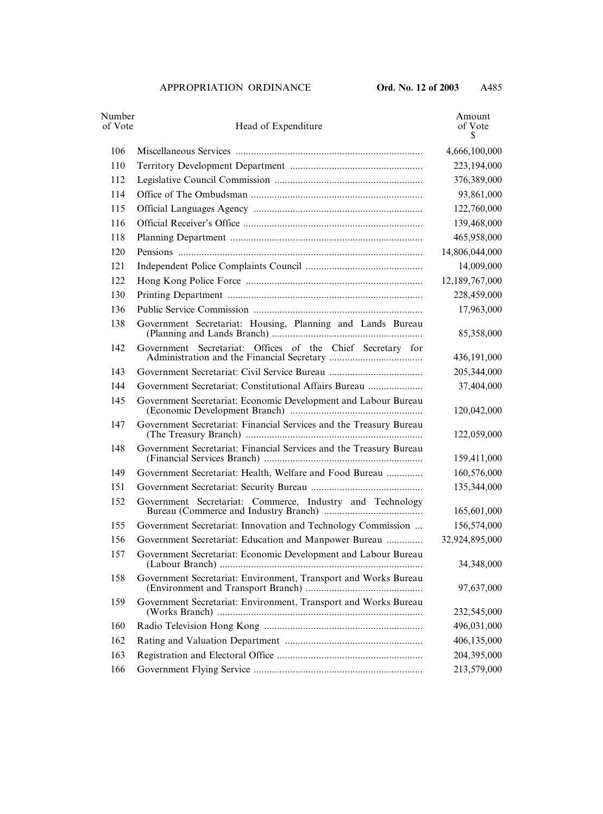| Number<br>of Vote | Head of Expenditure                                                | Amount<br>of Vote<br>\$ |
|-------------------|--------------------------------------------------------------------|-------------------------|
| 106               |                                                                    | 4,666,100,000           |
| 110               |                                                                    | 223,194,000             |
| 112               |                                                                    | 376,389,000             |
| 114               |                                                                    | 93,861,000              |
| 115               |                                                                    | 122,760,000             |
| 116               |                                                                    | 139,468,000             |
| 118               |                                                                    | 465,958,000             |
| 120               |                                                                    | 14,806,044,000          |
| 121               |                                                                    | 14,009,000              |
| 122               |                                                                    | 12,189,767,000          |
| 130               |                                                                    | 228,459,000             |
| 136               |                                                                    | 17,963,000              |
| 138               | Government Secretariat: Housing, Planning and Lands Bureau         | 85,358,000              |
| 142               | Government Secretariat: Offices of the Chief Secretary for         | 436,191,000             |
| 143               |                                                                    | 205,344,000             |
| 144               | Government Secretariat: Constitutional Affairs Bureau              | 37,404,000              |
| 145               | Government Secretariat: Economic Development and Labour Bureau     | 120,042,000             |
| 147               | Government Secretariat: Financial Services and the Treasury Bureau | 122,059,000             |
| 148               | Government Secretariat: Financial Services and the Treasury Bureau | 159,411,000             |
| 149               | Government Secretariat: Health, Welfare and Food Bureau            | 160,576,000             |
| 151               |                                                                    | 135,344,000             |
| 152               | Government Secretariat: Commerce, Industry and Technology          | 165,601,000             |
| 155               | Government Secretariat: Innovation and Technology Commission       | 156,574,000             |
| 156               | Government Secretariat: Education and Manpower Bureau              | 32,924,895,000          |
| 157               | Government Secretariat: Economic Development and Labour Bureau     | 34,348,000              |
| 158               | Government Secretariat: Environment, Transport and Works Bureau    | 97,637,000              |
| 159               | Government Secretariat: Environment, Transport and Works Bureau    | 232,545,000             |
| 160               |                                                                    | 496,031,000             |
| 162               |                                                                    | 406,135,000             |
| 163               |                                                                    | 204,395,000             |
| 166               |                                                                    | 213,579,000             |